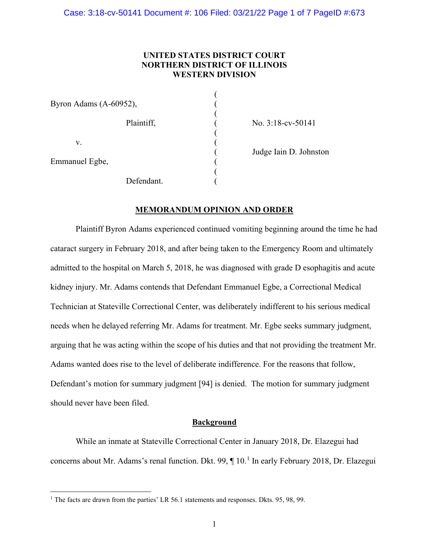## **UNITED STATES DISTRICT COURT NORTHERN DISTRICT OF ILLINOIS WESTERN DIVISION**

(

| Byron Adams (A-60952), |  |
|------------------------|--|
| Plaintiff,             |  |
| V.                     |  |
| Emmanuel Egbe,         |  |
| Defendant.             |  |

No. 3:18-cv-50141

Judge Iain D. Johnston

# **MEMORANDUM OPINION AND ORDER**

Plaintiff Byron Adams experienced continued vomiting beginning around the time he had cataract surgery in February 2018, and after being taken to the Emergency Room and ultimately admitted to the hospital on March 5, 2018, he was diagnosed with grade D esophagitis and acute kidney injury. Mr. Adams contends that Defendant Emmanuel Egbe, a Correctional Medical Technician at Stateville Correctional Center, was deliberately indifferent to his serious medical needs when he delayed referring Mr. Adams for treatment. Mr. Egbe seeks summary judgment, arguing that he was acting within the scope of his duties and that not providing the treatment Mr. Adams wanted does rise to the level of deliberate indifference. For the reasons that follow, Defendant's motion for summary judgment [94] is denied. The motion for summary judgment should never have been filed.

#### **Background**

While an inmate at Stateville Correctional Center in January 2018, Dr. Elazegui had concerns about Mr. Adams's renal function. Dkt. 99, ¶ 10.<sup>1</sup> In early February 2018, Dr. Elazegui

<sup>&</sup>lt;sup>1</sup> The facts are drawn from the parties' LR 56.1 statements and responses. Dkts. 95, 98, 99.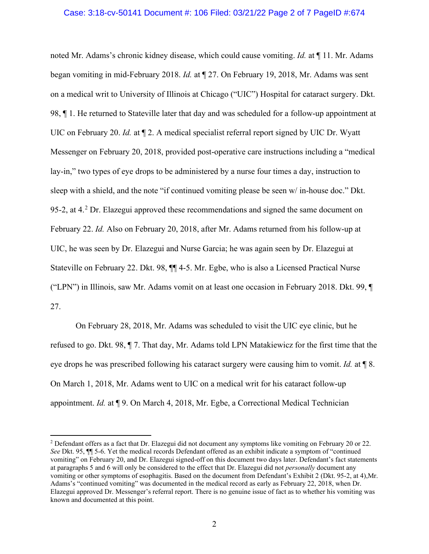#### Case: 3:18-cv-50141 Document #: 106 Filed: 03/21/22 Page 2 of 7 PageID #:674

noted Mr. Adams's chronic kidney disease, which could cause vomiting. *Id.* at ¶ 11. Mr. Adams began vomiting in mid-February 2018. *Id.* at ¶ 27. On February 19, 2018, Mr. Adams was sent on a medical writ to University of Illinois at Chicago ("UIC") Hospital for cataract surgery. Dkt. 98, ¶ 1. He returned to Stateville later that day and was scheduled for a follow-up appointment at UIC on February 20. *Id.* at ¶ 2. A medical specialist referral report signed by UIC Dr. Wyatt Messenger on February 20, 2018, provided post-operative care instructions including a "medical lay-in," two types of eye drops to be administered by a nurse four times a day, instruction to sleep with a shield, and the note "if continued vomiting please be seen w/ in-house doc." Dkt. 95-2, at  $4.^2$  Dr. Elazegui approved these recommendations and signed the same document on February 22. *Id.* Also on February 20, 2018, after Mr. Adams returned from his follow-up at UIC, he was seen by Dr. Elazegui and Nurse Garcia; he was again seen by Dr. Elazegui at Stateville on February 22. Dkt. 98, ¶¶ 4-5. Mr. Egbe, who is also a Licensed Practical Nurse ("LPN") in Illinois, saw Mr. Adams vomit on at least one occasion in February 2018. Dkt. 99, ¶ 27.

On February 28, 2018, Mr. Adams was scheduled to visit the UIC eye clinic, but he refused to go. Dkt. 98, ¶ 7. That day, Mr. Adams told LPN Matakiewicz for the first time that the eye drops he was prescribed following his cataract surgery were causing him to vomit. *Id.* at ¶ 8. On March 1, 2018, Mr. Adams went to UIC on a medical writ for his cataract follow-up appointment. *Id.* at ¶ 9. On March 4, 2018, Mr. Egbe, a Correctional Medical Technician

<sup>&</sup>lt;sup>2</sup> Defendant offers as a fact that Dr. Elazegui did not document any symptoms like vomiting on February 20 or 22. *See* Dkt. 95, ¶¶ 5-6. Yet the medical records Defendant offered as an exhibit indicate a symptom of "continued vomiting" on February 20, and Dr. Elazegui signed-off on this document two days later. Defendant's fact statements at paragraphs 5 and 6 will only be considered to the effect that Dr. Elazegui did not *personally* document any vomiting or other symptoms of esophagitis. Based on the document from Defendant's Exhibit 2 (Dkt. 95-2, at 4),Mr. Adams's "continued vomiting" was documented in the medical record as early as February 22, 2018, when Dr. Elazegui approved Dr. Messenger's referral report. There is no genuine issue of fact as to whether his vomiting was known and documented at this point.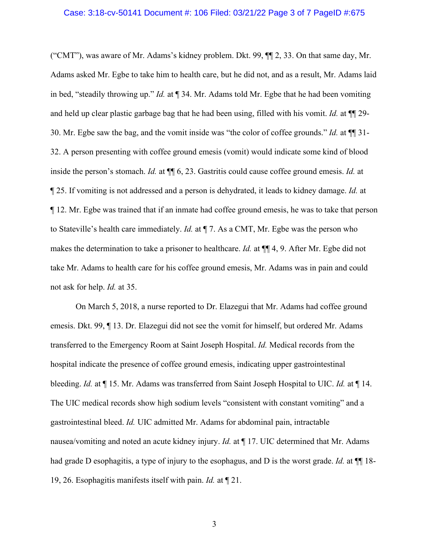### Case: 3:18-cv-50141 Document #: 106 Filed: 03/21/22 Page 3 of 7 PageID #:675

("CMT"), was aware of Mr. Adams's kidney problem. Dkt. 99, ¶¶ 2, 33. On that same day, Mr. Adams asked Mr. Egbe to take him to health care, but he did not, and as a result, Mr. Adams laid in bed, "steadily throwing up." *Id.* at ¶ 34. Mr. Adams told Mr. Egbe that he had been vomiting and held up clear plastic garbage bag that he had been using, filled with his vomit. *Id.* at ¶¶ 29- 30. Mr. Egbe saw the bag, and the vomit inside was "the color of coffee grounds." *Id.* at ¶¶ 31- 32. A person presenting with coffee ground emesis (vomit) would indicate some kind of blood inside the person's stomach. *Id.* at ¶¶ 6, 23. Gastritis could cause coffee ground emesis. *Id.* at ¶ 25. If vomiting is not addressed and a person is dehydrated, it leads to kidney damage. *Id.* at ¶ 12. Mr. Egbe was trained that if an inmate had coffee ground emesis, he was to take that person to Stateville's health care immediately. *Id.* at ¶ 7. As a CMT, Mr. Egbe was the person who makes the determination to take a prisoner to healthcare. *Id.* at ¶¶ 4, 9. After Mr. Egbe did not take Mr. Adams to health care for his coffee ground emesis, Mr. Adams was in pain and could not ask for help. *Id.* at 35.

On March 5, 2018, a nurse reported to Dr. Elazegui that Mr. Adams had coffee ground emesis. Dkt. 99, ¶ 13. Dr. Elazegui did not see the vomit for himself, but ordered Mr. Adams transferred to the Emergency Room at Saint Joseph Hospital. *Id.* Medical records from the hospital indicate the presence of coffee ground emesis, indicating upper gastrointestinal bleeding. *Id.* at ¶ 15. Mr. Adams was transferred from Saint Joseph Hospital to UIC. *Id.* at ¶ 14. The UIC medical records show high sodium levels "consistent with constant vomiting" and a gastrointestinal bleed. *Id.* UIC admitted Mr. Adams for abdominal pain, intractable nausea/vomiting and noted an acute kidney injury. *Id.* at ¶ 17. UIC determined that Mr. Adams had grade D esophagitis, a type of injury to the esophagus, and D is the worst grade. *Id.* at ¶¶ 18- 19, 26. Esophagitis manifests itself with pain. *Id.* at ¶ 21.

3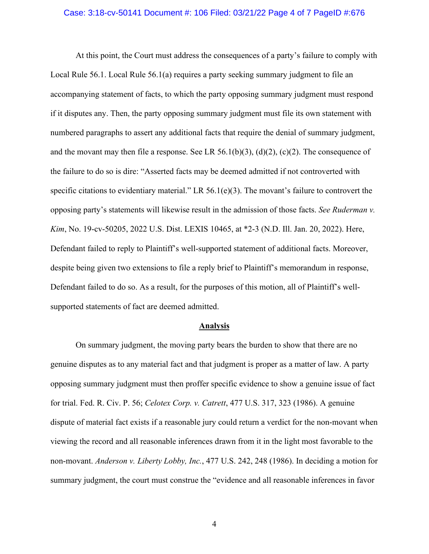#### Case: 3:18-cv-50141 Document #: 106 Filed: 03/21/22 Page 4 of 7 PageID #:676

At this point, the Court must address the consequences of a party's failure to comply with Local Rule 56.1. Local Rule 56.1(a) requires a party seeking summary judgment to file an accompanying statement of facts, to which the party opposing summary judgment must respond if it disputes any. Then, the party opposing summary judgment must file its own statement with numbered paragraphs to assert any additional facts that require the denial of summary judgment, and the movant may then file a response. See LR 56.1(b)(3), (d)(2), (c)(2). The consequence of the failure to do so is dire: "Asserted facts may be deemed admitted if not controverted with specific citations to evidentiary material." LR 56.1(e)(3). The movant's failure to controvert the opposing party's statements will likewise result in the admission of those facts. *See Ruderman v. Kim*, No. 19-cv-50205, 2022 U.S. Dist. LEXIS 10465, at \*2-3 (N.D. Ill. Jan. 20, 2022). Here, Defendant failed to reply to Plaintiff's well-supported statement of additional facts. Moreover, despite being given two extensions to file a reply brief to Plaintiff's memorandum in response, Defendant failed to do so. As a result, for the purposes of this motion, all of Plaintiff's wellsupported statements of fact are deemed admitted.

#### **Analysis**

On summary judgment, the moving party bears the burden to show that there are no genuine disputes as to any material fact and that judgment is proper as a matter of law. A party opposing summary judgment must then proffer specific evidence to show a genuine issue of fact for trial. Fed. R. Civ. P. 56; *Celotex Corp. v. Catrett*, 477 U.S. 317, 323 (1986). A genuine dispute of material fact exists if a reasonable jury could return a verdict for the non-movant when viewing the record and all reasonable inferences drawn from it in the light most favorable to the non-movant. *Anderson v. Liberty Lobby, Inc.*, 477 U.S. 242, 248 (1986). In deciding a motion for summary judgment, the court must construe the "evidence and all reasonable inferences in favor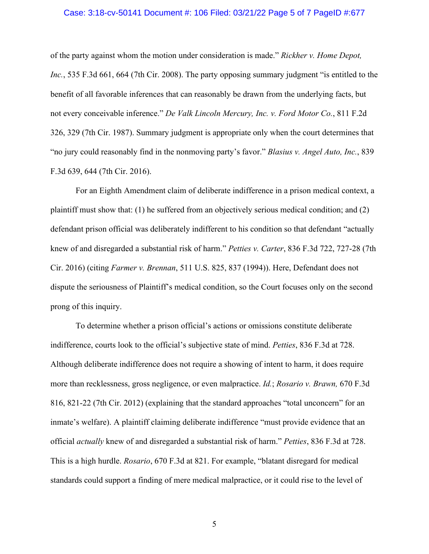#### Case: 3:18-cv-50141 Document #: 106 Filed: 03/21/22 Page 5 of 7 PageID #:677

of the party against whom the motion under consideration is made." *Rickher v. Home Depot, Inc.*, 535 F.3d 661, 664 (7th Cir. 2008). The party opposing summary judgment "is entitled to the benefit of all favorable inferences that can reasonably be drawn from the underlying facts, but not every conceivable inference." *De Valk Lincoln Mercury, Inc. v. Ford Motor Co.*, 811 F.2d 326, 329 (7th Cir. 1987). Summary judgment is appropriate only when the court determines that "no jury could reasonably find in the nonmoving party's favor." *Blasius v. Angel Auto, Inc.*, 839 F.3d 639, 644 (7th Cir. 2016).

For an Eighth Amendment claim of deliberate indifference in a prison medical context, a plaintiff must show that: (1) he suffered from an objectively serious medical condition; and (2) defendant prison official was deliberately indifferent to his condition so that defendant "actually knew of and disregarded a substantial risk of harm." *Petties v. Carter*, 836 F.3d 722, 727-28 (7th Cir. 2016) (citing *Farmer v. Brennan*, 511 U.S. 825, 837 (1994)). Here, Defendant does not dispute the seriousness of Plaintiff's medical condition, so the Court focuses only on the second prong of this inquiry.

To determine whether a prison official's actions or omissions constitute deliberate indifference, courts look to the official's subjective state of mind. *Petties*, 836 F.3d at 728. Although deliberate indifference does not require a showing of intent to harm, it does require more than recklessness, gross negligence, or even malpractice. *Id.*; *Rosario v. Brawn,* 670 F.3d 816, 821-22 (7th Cir. 2012) (explaining that the standard approaches "total unconcern" for an inmate's welfare). A plaintiff claiming deliberate indifference "must provide evidence that an official *actually* knew of and disregarded a substantial risk of harm." *Petties*, 836 F.3d at 728. This is a high hurdle. *Rosario*, 670 F.3d at 821. For example, "blatant disregard for medical standards could support a finding of mere medical malpractice, or it could rise to the level of

5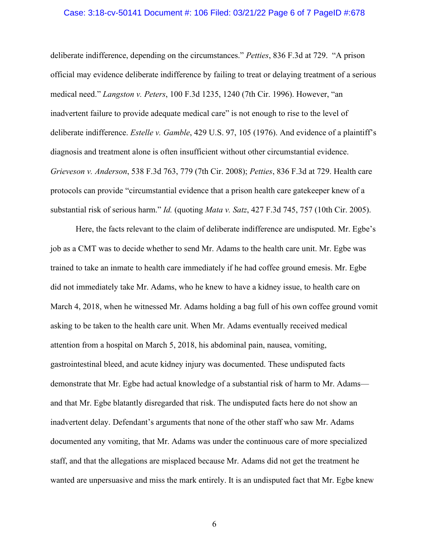#### Case: 3:18-cv-50141 Document #: 106 Filed: 03/21/22 Page 6 of 7 PageID #:678

deliberate indifference, depending on the circumstances." *Petties*, 836 F.3d at 729. "A prison official may evidence deliberate indifference by failing to treat or delaying treatment of a serious medical need." *Langston v. Peters*, 100 F.3d 1235, 1240 (7th Cir. 1996). However, "an inadvertent failure to provide adequate medical care" is not enough to rise to the level of deliberate indifference. *Estelle v. Gamble*, 429 U.S. 97, 105 (1976). And evidence of a plaintiff's diagnosis and treatment alone is often insufficient without other circumstantial evidence. *Grieveson v. Anderson*, 538 F.3d 763, 779 (7th Cir. 2008); *Petties*, 836 F.3d at 729. Health care protocols can provide "circumstantial evidence that a prison health care gatekeeper knew of a substantial risk of serious harm." *Id.* (quoting *Mata v. Satz*, 427 F.3d 745, 757 (10th Cir. 2005).

Here, the facts relevant to the claim of deliberate indifference are undisputed. Mr. Egbe's job as a CMT was to decide whether to send Mr. Adams to the health care unit. Mr. Egbe was trained to take an inmate to health care immediately if he had coffee ground emesis. Mr. Egbe did not immediately take Mr. Adams, who he knew to have a kidney issue, to health care on March 4, 2018, when he witnessed Mr. Adams holding a bag full of his own coffee ground vomit asking to be taken to the health care unit. When Mr. Adams eventually received medical attention from a hospital on March 5, 2018, his abdominal pain, nausea, vomiting, gastrointestinal bleed, and acute kidney injury was documented. These undisputed facts demonstrate that Mr. Egbe had actual knowledge of a substantial risk of harm to Mr. Adams and that Mr. Egbe blatantly disregarded that risk. The undisputed facts here do not show an inadvertent delay. Defendant's arguments that none of the other staff who saw Mr. Adams documented any vomiting, that Mr. Adams was under the continuous care of more specialized staff, and that the allegations are misplaced because Mr. Adams did not get the treatment he wanted are unpersuasive and miss the mark entirely. It is an undisputed fact that Mr. Egbe knew